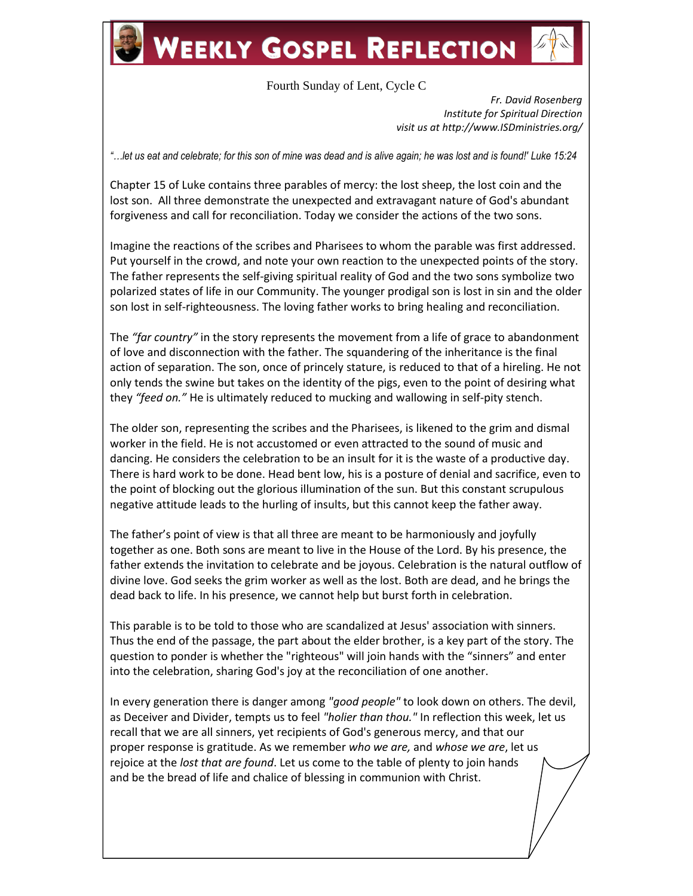# **WEEKLY GOSPEL REFLECTION**

## Fourth Sunday of Lent, Cycle C

*Fr. David Rosenberg Institute for Spiritual Direction visit us at http://www.ISDministries.org/*

*"…let us eat and celebrate; for this son of mine was dead and is alive again; he was lost and is found!' Luke 15:24*

Chapter 15 of Luke contains three parables of mercy: the lost sheep, the lost coin and the lost son. All three demonstrate the unexpected and extravagant nature of God's abundant forgiveness and call for reconciliation. Today we consider the actions of the two sons.

Imagine the reactions of the scribes and Pharisees to whom the parable was first addressed. Put yourself in the crowd, and note your own reaction to the unexpected points of the story. The father represents the self-giving spiritual reality of God and the two sons symbolize two polarized states of life in our Community. The younger prodigal son is lost in sin and the older son lost in self-righteousness. The loving father works to bring healing and reconciliation.

The *"far country"* in the story represents the movement from a life of grace to abandonment of love and disconnection with the father. The squandering of the inheritance is the final action of separation. The son, once of princely stature, is reduced to that of a hireling. He not only tends the swine but takes on the identity of the pigs, even to the point of desiring what they *"feed on."* He is ultimately reduced to mucking and wallowing in self-pity stench.

The older son, representing the scribes and the Pharisees, is likened to the grim and dismal worker in the field. He is not accustomed or even attracted to the sound of music and dancing. He considers the celebration to be an insult for it is the waste of a productive day. There is hard work to be done. Head bent low, his is a posture of denial and sacrifice, even to the point of blocking out the glorious illumination of the sun. But this constant scrupulous negative attitude leads to the hurling of insults, but this cannot keep the father away.

The father's point of view is that all three are meant to be harmoniously and joyfully together as one. Both sons are meant to live in the House of the Lord. By his presence, the father extends the invitation to celebrate and be joyous. Celebration is the natural outflow of divine love. God seeks the grim worker as well as the lost. Both are dead, and he brings the dead back to life. In his presence, we cannot help but burst forth in celebration.

This parable is to be told to those who are scandalized at Jesus' association with sinners. Thus the end of the passage, the part about the elder brother, is a key part of the story. The question to ponder is whether the "righteous" will join hands with the "sinners" and enter into the celebration, sharing God's joy at the reconciliation of one another.

In every generation there is danger among *"good people"* to look down on others. The devil, as Deceiver and Divider, tempts us to feel *"holier than thou."* In reflection this week, let us recall that we are all sinners, yet recipients of God's generous mercy, and that our proper response is gratitude. As we remember *who we are,* and *whose we are*, let us rejoice at the *lost that are found*. Let us come to the table of plenty to join hands and be the bread of life and chalice of blessing in communion with Christ.